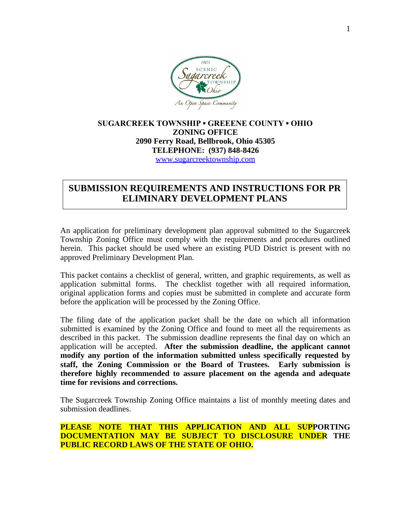

## **SUGARCREEK TOWNSHIP ▪ GREEENE COUNTY ▪ OHIO ZONING OFFICE 2090 Ferry Road, Bellbrook, Ohio 45305 TELEPHONE: (937) 848-8426** [www.sugarcreektownship.com](http://www.sugarcreektownship.com)

# **SUBMISSION REQUIREMENTS AND INSTRUCTIONS FOR PR ELIMINARY DEVELOPMENT PLANS**

An application for preliminary development plan approval submitted to the Sugarcreek Township Zoning Office must comply with the requirements and procedures outlined herein. This packet should be used where an existing PUD District is present with no approved Preliminary Development Plan.

This packet contains a checklist of general, written, and graphic requirements, as well as application submittal forms. The checklist together with all required information, original application forms and copies must be submitted in complete and accurate form before the application will be processed by the Zoning Office.

The filing date of the application packet shall be the date on which all information submitted is examined by the Zoning Office and found to meet all the requirements as described in this packet. The submission deadline represents the final day on which an application will be accepted. **After the submission deadline, the applicant cannot modify any portion of the information submitted unless specifically requested by staff, the Zoning Commission or the Board of Trustees. Early submission is therefore highly recommended to assure placement on the agenda and adequate time for revisions and corrections.**

The Sugarcreek Township Zoning Office maintains a list of monthly meeting dates and submission deadlines.

**PLEASE NOTE THAT THIS APPLICATION AND ALL SUPPORTING DOCUMENTATION MAY BE SUBJECT TO DISCLOSURE UNDER THE PUBLIC RECORD LAWS OF THE STATE OF OHIO.**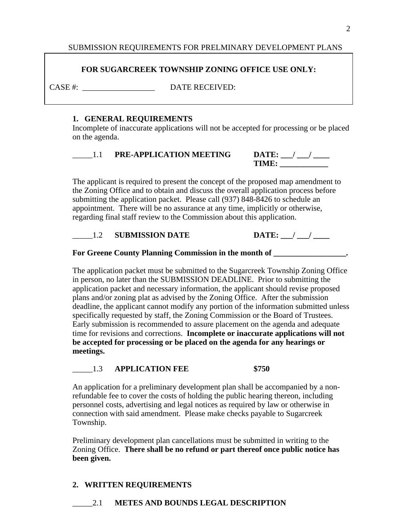## SUBMISSION REQUIREMENTS FOR PRELMINARY DEVELOPMENT PLANS

### **FOR SUGARCREEK TOWNSHIP ZONING OFFICE USE ONLY:**

CASE #:  $DATE RECEIVED:$ 

#### **1. GENERAL REQUIREMENTS**

Incomplete of inaccurate applications will not be accepted for processing or be placed on the agenda.

| <b>PRE-APPLICATION MEETING</b> | DATE: |
|--------------------------------|-------|
|                                | TIMF  |

The applicant is required to present the concept of the proposed map amendment to the Zoning Office and to obtain and discuss the overall application process before submitting the application packet. Please call (937) 848-8426 to schedule an appointment. There will be no assurance at any time, implicitly or otherwise, regarding final staff review to the Commission about this application.

#### 1.2 **SUBMISSION DATE DATE:** / /

#### For Greene County Planning Commission in the month of \_\_\_\_\_\_\_\_\_\_\_\_\_\_\_\_\_\_.

The application packet must be submitted to the Sugarcreek Township Zoning Office in person, no later than the SUBMISSION DEADLINE. Prior to submitting the application packet and necessary information, the applicant should revise proposed plans and/or zoning plat as advised by the Zoning Office. After the submission deadline, the applicant cannot modify any portion of the information submitted unless specifically requested by staff, the Zoning Commission or the Board of Trustees. Early submission is recommended to assure placement on the agenda and adequate time for revisions and corrections. **Incomplete or inaccurate applications will not be accepted for processing or be placed on the agenda for any hearings or meetings.**

#### \_\_\_\_\_1.3 **APPLICATION FEE \$750**

An application for a preliminary development plan shall be accompanied by a nonrefundable fee to cover the costs of holding the public hearing thereon, including personnel costs, advertising and legal notices as required by law or otherwise in connection with said amendment. Please make checks payable to Sugarcreek Township.

Preliminary development plan cancellations must be submitted in writing to the Zoning Office. **There shall be no refund or part thereof once public notice has been given.**

## **2. WRITTEN REQUIREMENTS**

\_\_\_\_\_2.1 **METES AND BOUNDS LEGAL DESCRIPTION**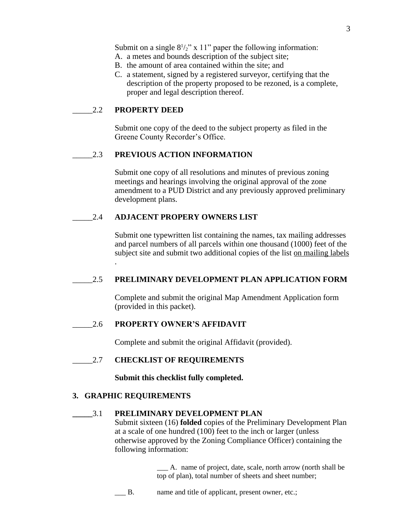Submit on a single  $8^{1/2}$ " x 11" paper the following information:

- A. a metes and bounds description of the subject site;
- B. the amount of area contained within the site; and
- C. a statement, signed by a registered surveyor, certifying that the description of the property proposed to be rezoned, is a complete, proper and legal description thereof.

## \_\_\_\_\_2.2 **PROPERTY DEED**

Submit one copy of the deed to the subject property as filed in the Greene County Recorder's Office.

#### \_\_\_\_\_2.3 **PREVIOUS ACTION INFORMATION**

Submit one copy of all resolutions and minutes of previous zoning meetings and hearings involving the original approval of the zone amendment to a PUD District and any previously approved preliminary development plans.

#### \_\_\_\_\_2.4 **ADJACENT PROPERY OWNERS LIST**

Submit one typewritten list containing the names, tax mailing addresses and parcel numbers of all parcels within one thousand (1000) feet of the subject site and submit two additional copies of the list on mailing labels

.

## \_\_\_\_\_2.5 **PRELIMINARY DEVELOPMENT PLAN APPLICATION FORM**

Complete and submit the original Map Amendment Application form (provided in this packet).

#### \_\_\_\_\_2.6 **PROPERTY OWNER'S AFFIDAVIT**

Complete and submit the original Affidavit (provided).

## \_\_\_\_\_2.7 **CHECKLIST OF REQUIREMENTS**

**Submit this checklist fully completed.**

#### **3. GRAPHIC REQUIREMENTS**

#### **\_\_\_\_\_**3.1 **PRELIMINARY DEVELOPMENT PLAN**

Submit sixteen (16) **folded** copies of the Preliminary Development Plan at a scale of one hundred (100) feet to the inch or larger (unless otherwise approved by the Zoning Compliance Officer) containing the following information:

> \_\_\_ A. name of project, date, scale, north arrow (north shall be top of plan), total number of sheets and sheet number;

B. name and title of applicant, present owner, etc.;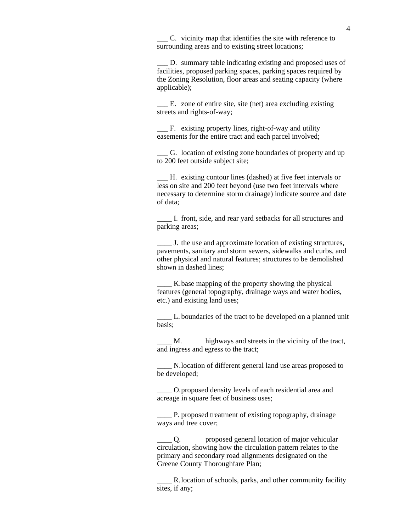\_\_\_ C. vicinity map that identifies the site with reference to surrounding areas and to existing street locations;

D. summary table indicating existing and proposed uses of facilities, proposed parking spaces, parking spaces required by the Zoning Resolution, floor areas and seating capacity (where applicable);

E. zone of entire site, site (net) area excluding existing streets and rights-of-way;

\_\_\_ F. existing property lines, right-of-way and utility easements for the entire tract and each parcel involved;

G. location of existing zone boundaries of property and up to 200 feet outside subject site;

\_\_\_ H. existing contour lines (dashed) at five feet intervals or less on site and 200 feet beyond (use two feet intervals where necessary to determine storm drainage) indicate source and date of data;

\_\_\_\_ I. front, side, and rear yard setbacks for all structures and parking areas;

\_\_\_\_ J. the use and approximate location of existing structures, pavements, sanitary and storm sewers, sidewalks and curbs, and other physical and natural features; structures to be demolished shown in dashed lines;

\_\_\_\_ K.base mapping of the property showing the physical features (general topography, drainage ways and water bodies, etc.) and existing land uses;

\_\_\_\_ L. boundaries of the tract to be developed on a planned unit basis;

\_\_\_\_ M. highways and streets in the vicinity of the tract, and ingress and egress to the tract;

\_\_\_\_ N.location of different general land use areas proposed to be developed;

\_\_\_\_ O.proposed density levels of each residential area and acreage in square feet of business uses;

P. proposed treatment of existing topography, drainage ways and tree cover;

\_\_\_\_ Q. proposed general location of major vehicular circulation, showing how the circulation pattern relates to the primary and secondary road alignments designated on the Greene County Thoroughfare Plan;

\_\_\_\_ R.location of schools, parks, and other community facility sites, if any;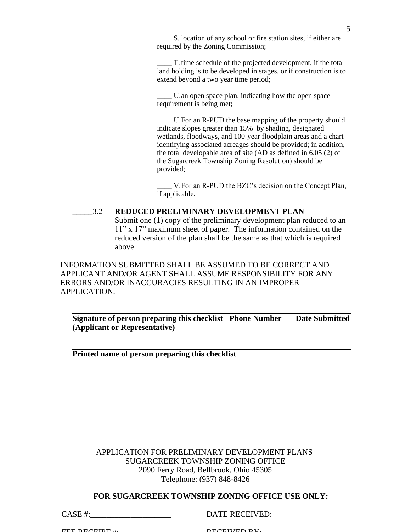S. location of any school or fire station sites, if either are required by the Zoning Commission;

T. time schedule of the projected development, if the total land holding is to be developed in stages, or if construction is to extend beyond a two year time period;

U.an open space plan, indicating how the open space requirement is being met;

U. For an R-PUD the base mapping of the property should indicate slopes greater than 15% by shading, designated wetlands, floodways, and 100-year floodplain areas and a chart identifying associated acreages should be provided; in addition, the total developable area of site (AD as defined in 6.05 (2) of the Sugarcreek Township Zoning Resolution) should be provided;

V. For an R-PUD the BZC's decision on the Concept Plan, if applicable.

#### \_\_\_\_\_3.2 **REDUCED PRELIMINARY DEVELOPMENT PLAN** Submit one (1) copy of the preliminary development plan reduced to an 11" x 17" maximum sheet of paper. The information contained on the reduced version of the plan shall be the same as that which is required above.

INFORMATION SUBMITTED SHALL BE ASSUMED TO BE CORRECT AND APPLICANT AND/OR AGENT SHALL ASSUME RESPONSIBILITY FOR ANY ERRORS AND/OR INACCURACIES RESULTING IN AN IMPROPER APPLICATION.

**Signature of person preparing this checklist Phone Number Date Submitted (Applicant or Representative)**

**Printed name of person preparing this checklist**

## APPLICATION FOR PRELIMINARY DEVELOPMENT PLANS SUGARCREEK TOWNSHIP ZONING OFFICE 2090 Ferry Road, Bellbrook, Ohio 45305 Telephone: (937) 848-8426

## **FOR SUGARCREEK TOWNSHIP ZONING OFFICE USE ONLY:**

CASE #:  $\blacksquare$ 

FEE DECEIDT  $\#$ .  $\qquad \qquad$  DECEIVED BY: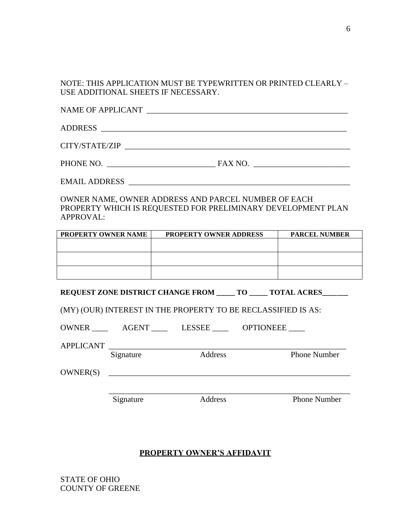NOTE: THIS APPLICATION MUST BE TYPEWRITTEN OR PRINTED CLEARLY – USE ADDITIONAL SHEETS IF NECESSARY.

NAME OF APPLICANT \_\_\_\_\_\_\_\_\_\_\_\_\_\_\_\_\_\_\_\_\_\_\_\_\_\_\_\_\_\_\_\_\_\_\_\_\_\_\_\_\_\_\_\_\_\_\_\_\_\_

ADDRESS \_\_\_\_\_\_\_\_\_\_\_\_\_\_\_\_\_\_\_\_\_\_\_\_\_\_\_\_\_\_\_\_\_\_\_\_\_\_\_\_\_\_\_\_\_\_\_\_\_\_\_\_\_\_\_\_\_\_\_\_\_

CITY/STATE/ZIP \_\_\_\_\_\_\_\_\_\_\_\_\_\_\_\_\_\_\_\_\_\_\_\_\_\_\_\_\_\_\_\_\_\_\_\_\_\_\_\_\_\_\_\_\_\_\_\_\_\_\_\_\_\_\_\_

PHONE NO. \_\_\_\_\_\_\_\_\_\_\_\_\_\_\_\_\_\_\_\_\_\_\_\_\_\_\_ FAX NO. \_\_\_\_\_\_\_\_\_\_\_\_\_\_\_\_\_\_\_\_\_\_\_\_

EMAIL ADDRESS \_

OWNER NAME, OWNER ADDRESS AND PARCEL NUMBER OF EACH PROPERTY WHICH IS REQUESTED FOR PRELIMINARY DEVELOPMENT PLAN APPROVAL:

| <b>PROPERTY OWNER NAME</b> | <b>PROPERTY OWNER ADDRESS</b> | <b>PARCEL NUMBER</b> |
|----------------------------|-------------------------------|----------------------|
|                            |                               |                      |
|                            |                               |                      |
|                            |                               |                      |
|                            |                               |                      |
|                            |                               |                      |
|                            |                               |                      |

**REQUEST ZONE DISTRICT CHANGE FROM \_\_\_\_\_ TO \_\_\_\_\_ TOTAL ACRES\_\_\_\_\_\_\_**

(MY) (OUR) INTEREST IN THE PROPERTY TO BE RECLASSIFIED IS AS:

| <b>OWNER</b> | <b>AGENT</b> | <b>LESSEE</b> | <b>OPTIONEEE</b> |
|--------------|--------------|---------------|------------------|
|              |              |               |                  |

| $\lambda$ DDI IO $\lambda$ $\lambda$ ID<br>N<br>$\mathbf{\Lambda}$<br>A1L1 |  |
|----------------------------------------------------------------------------|--|
|                                                                            |  |

Signature Address Phone Number

OWNER(S) \_\_\_\_\_\_\_\_\_\_\_\_\_\_\_\_\_\_\_\_\_\_\_\_\_\_\_\_\_\_\_\_\_\_\_\_\_\_\_\_\_\_\_\_\_\_\_\_\_\_\_\_\_\_\_\_\_\_\_\_

\_\_\_\_\_\_\_\_\_\_\_\_\_\_\_\_\_\_\_\_\_\_\_\_\_\_\_\_\_\_\_\_\_\_\_\_\_\_\_\_\_\_\_\_\_\_\_\_\_\_\_\_\_\_\_\_\_\_\_\_ Signature Address Phone Number

## **PROPERTY OWNER'S AFFIDAVIT**

STATE OF OHIO COUNTY OF GREENE